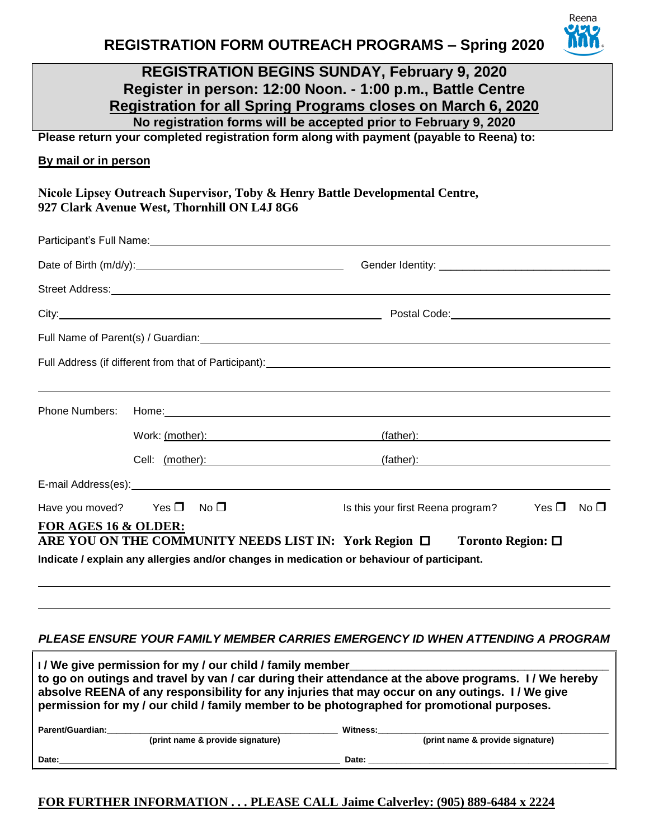Reena

## **REGISTRATION BEGINS SUNDAY, February 9, 2020 Register in person: 12:00 Noon. - 1:00 p.m., Battle Centre Registration for all Spring Programs closes on March 6, 2020 No registration forms will be accepted prior to February 9, 2020**

**Please return your completed registration form along with payment (payable to Reena) to:** 

### **By mail or in person**

**Nicole Lipsey Outreach Supervisor, Toby & Henry Battle Developmental Centre, 927 Clark Avenue West, Thornhill ON L4J 8G6** 

|                      | Street Address: <u>Allen and Charles and Charles and Charles and Charles and Charles and Charles and Charles and Charles and Charles and Charles and Charles and Charles and Charles and Charles and Charles and Charles and Cha</u> |                                                                                                                                                                                                                                |               |              |
|----------------------|--------------------------------------------------------------------------------------------------------------------------------------------------------------------------------------------------------------------------------------|--------------------------------------------------------------------------------------------------------------------------------------------------------------------------------------------------------------------------------|---------------|--------------|
|                      |                                                                                                                                                                                                                                      |                                                                                                                                                                                                                                |               |              |
|                      |                                                                                                                                                                                                                                      |                                                                                                                                                                                                                                |               |              |
|                      | ,我们也不会有什么?""我们的人,我们也不会有什么?""我们的人,我们也不会有什么?""我们的人,我们也不会有什么?""我们的人,我们也不会有什么?""我们的人                                                                                                                                                     |                                                                                                                                                                                                                                |               |              |
|                      |                                                                                                                                                                                                                                      |                                                                                                                                                                                                                                |               |              |
|                      | Work: (mother): Work: (mother):                                                                                                                                                                                                      | (father): expression of the state of the state of the state of the state of the state of the state of the state of the state of the state of the state of the state of the state of the state of the state of the state of the |               |              |
|                      | Cell: (mother): (father): (father): (father):                                                                                                                                                                                        |                                                                                                                                                                                                                                |               |              |
|                      |                                                                                                                                                                                                                                      |                                                                                                                                                                                                                                |               |              |
|                      | Have you moved? Yes $\Box$ No $\Box$                                                                                                                                                                                                 | Is this your first Reena program?                                                                                                                                                                                              | Yes $\square$ | No $\square$ |
| FOR AGES 16 & OLDER: | ARE YOU ON THE COMMUNITY NEEDS LIST IN: York Region □<br>Indicate / explain any allergies and/or changes in medication or behaviour of participant.                                                                                  | Toronto Region: $\square$                                                                                                                                                                                                      |               |              |

#### *PLEASE ENSURE YOUR FAMILY MEMBER CARRIES EMERGENCY ID WHEN ATTENDING A PROGRAM*

| I/We give permission for my / our child / family member<br>to go on outings and travel by van / car during their attendance at the above programs. I/ We hereby<br>absolve REENA of any responsibility for any injuries that may occur on any outings. I/We give<br>permission for my / our child / family member to be photographed for promotional purposes. |                                  |          |                                  |
|----------------------------------------------------------------------------------------------------------------------------------------------------------------------------------------------------------------------------------------------------------------------------------------------------------------------------------------------------------------|----------------------------------|----------|----------------------------------|
| Parent/Guardian:                                                                                                                                                                                                                                                                                                                                               | (print name & provide signature) | Witness: | (print name & provide signature) |
| Date:                                                                                                                                                                                                                                                                                                                                                          |                                  | Date:    |                                  |

## **FOR FURTHER INFORMATION . . . PLEASE CALL Jaime Calverley: (905) 889-6484 x 2224**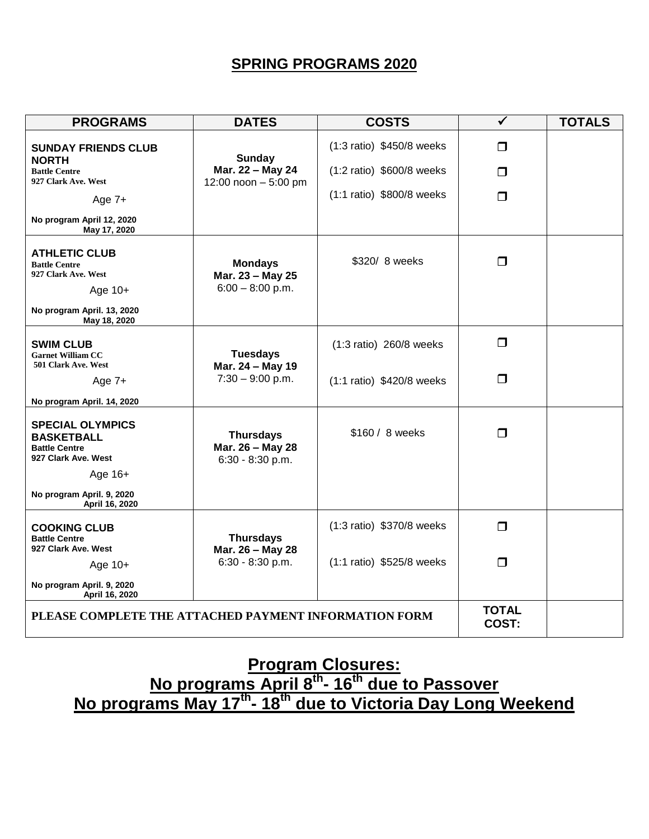# **SPRING PROGRAMS 2020**

| <b>PROGRAMS</b>                                                                                                | <b>DATES</b>                                             | <b>COSTS</b>              | ✓                     | <b>TOTALS</b> |
|----------------------------------------------------------------------------------------------------------------|----------------------------------------------------------|---------------------------|-----------------------|---------------|
| <b>SUNDAY FRIENDS CLUB</b>                                                                                     | <b>Sunday</b>                                            | (1:3 ratio) \$450/8 weeks | $\Box$                |               |
| <b>NORTH</b><br><b>Battle Centre</b><br>927 Clark Ave. West                                                    | Mar. 22 - May 24<br>12:00 noon $-5:00$ pm                | (1:2 ratio) \$600/8 weeks | $\Box$                |               |
| Age $7+$                                                                                                       |                                                          | (1:1 ratio) \$800/8 weeks | $\Box$                |               |
| No program April 12, 2020<br>May 17, 2020                                                                      |                                                          |                           |                       |               |
| <b>ATHLETIC CLUB</b><br><b>Battle Centre</b><br>927 Clark Ave. West<br>Age $10+$<br>No program April. 13, 2020 | <b>Mondays</b><br>Mar. 23 - May 25<br>$6:00 - 8:00$ p.m. | \$320/ 8 weeks            | $\Box$                |               |
| May 18, 2020                                                                                                   |                                                          |                           |                       |               |
| <b>SWIM CLUB</b><br><b>Garnet William CC</b><br>501 Clark Ave. West                                            | <b>Tuesdays</b>                                          | (1:3 ratio) 260/8 weeks   | $\Box$                |               |
| Age $7+$                                                                                                       | Mar. 24 - May 19<br>$7:30 - 9:00$ p.m.                   | (1:1 ratio) \$420/8 weeks | $\Box$                |               |
| No program April. 14, 2020                                                                                     |                                                          |                           |                       |               |
| <b>SPECIAL OLYMPICS</b><br><b>BASKETBALL</b><br><b>Battle Centre</b><br>927 Clark Ave. West<br>Age 16+         | <b>Thursdays</b><br>Mar. 26 - May 28<br>6:30 - 8:30 p.m. | \$160 / 8 weeks           | $\Box$                |               |
| No program April. 9, 2020<br>April 16, 2020                                                                    |                                                          |                           |                       |               |
| <b>COOKING CLUB</b><br><b>Battle Centre</b><br>927 Clark Ave. West                                             | <b>Thursdays</b><br>Mar. 26 - May 28                     | (1:3 ratio) \$370/8 weeks | $\Box$                |               |
| Age $10+$                                                                                                      | 6:30 - 8:30 p.m.                                         | (1:1 ratio) \$525/8 weeks | $\Box$                |               |
| No program April. 9, 2020<br>April 16, 2020                                                                    |                                                          |                           |                       |               |
| PLEASE COMPLETE THE ATTACHED PAYMENT INFORMATION FORM                                                          |                                                          |                           | <b>TOTAL</b><br>COST: |               |

# **Program Closures: No programs April 8th - 16th due to Passover No programs May 17th - 18th due to Victoria Day Long Weekend**